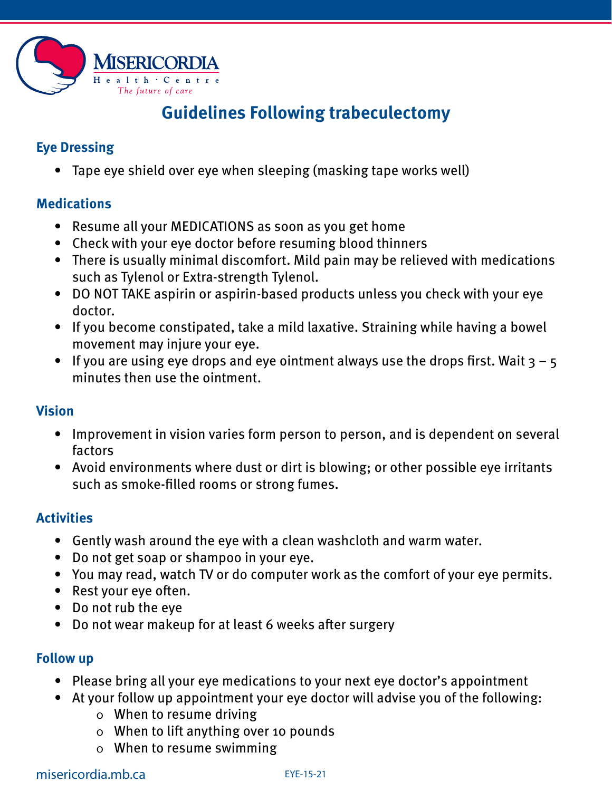

# **Guidelines Following trabeculectomy**

## **Eye Dressing**

• Tape eye shield over eye when sleeping (masking tape works well)

#### **Medications**

- Resume all your MEDICATIONS as soon as you get home
- Check with your eye doctor before resuming blood thinners
- There is usually minimal discomfort. Mild pain may be relieved with medications such as Tylenol or Extra-strength Tylenol.
- DO NOT TAKE aspirin or aspirin-based products unless you check with your eye doctor.
- If you become constipated, take a mild laxative. Straining while having a bowel movement may injure your eye.
- If you are using eye drops and eye ointment always use the drops first. Wait  $3 5$ minutes then use the ointment.

### **Vision**

- Improvement in vision varies form person to person, and is dependent on several factors
- Avoid environments where dust or dirt is blowing; or other possible eye irritants such as smoke-filled rooms or strong fumes.

### **Activities**

- Gently wash around the eye with a clean washcloth and warm water.
- Do not get soap or shampoo in your eye.
- You may read, watch TV or do computer work as the comfort of your eye permits.
- Rest your eye often.
- Do not rub the eye
- Do not wear makeup for at least 6 weeks after surgery

### **Follow up**

- Please bring all your eye medications to your next eye doctor's appointment
- At your follow up appointment your eye doctor will advise you of the following:
	- o When to resume driving
	- o When to lift anything over 10 pounds
	- o When to resume swimming

### misericordia.mb.ca